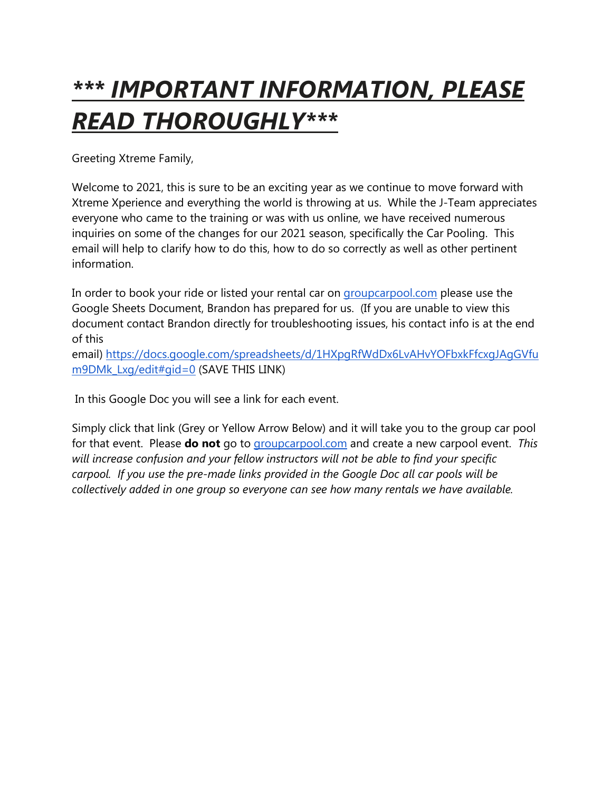# *\*\*\* IMPORTANT INFORMATION, PLEASE READ THOROUGHLY\*\*\**

Greeting Xtreme Family,

Welcome to 2021, this is sure to be an exciting year as we continue to move forward with Xtreme Xperience and everything the world is throwing at us. While the J-Team appreciates everyone who came to the training or was with us online, we have received numerous inquiries on some of the changes for our 2021 season, specifically the Car Pooling. This email will help to clarify how to do this, how to do so correctly as well as other pertinent information.

In order to book your ride or listed your rental car on [groupcarpool.com](http://groupcarpool.com/) please use the Google Sheets Document, Brandon has prepared for us. (If you are unable to view this document contact Brandon directly for troubleshooting issues, his contact info is at the end of this

email) [https://docs.google.com/spreadsheets/d/1HXpgRfWdDx6LvAHvYOFbxkFfcxgJAgGVfu](https://docs.google.com/spreadsheets/d/1HXpgRfWdDx6LvAHvYOFbxkFfcxgJAgGVfum9DMk_Lxg/edit#gid=0) [m9DMk\\_Lxg/edit#gid=0](https://docs.google.com/spreadsheets/d/1HXpgRfWdDx6LvAHvYOFbxkFfcxgJAgGVfum9DMk_Lxg/edit#gid=0) (SAVE THIS LINK)

In this Google Doc you will see a link for each event.

Simply click that link (Grey or Yellow Arrow Below) and it will take you to the group car pool for that event. Please **do not** go to [groupcarpool.com](http://groupcarpool.com/) and create a new carpool event. *This will increase confusion and your fellow instructors will not be able to find your specific carpool. If you use the pre-made links provided in the Google Doc all car pools will be collectively added in one group so everyone can see how many rentals we have available.*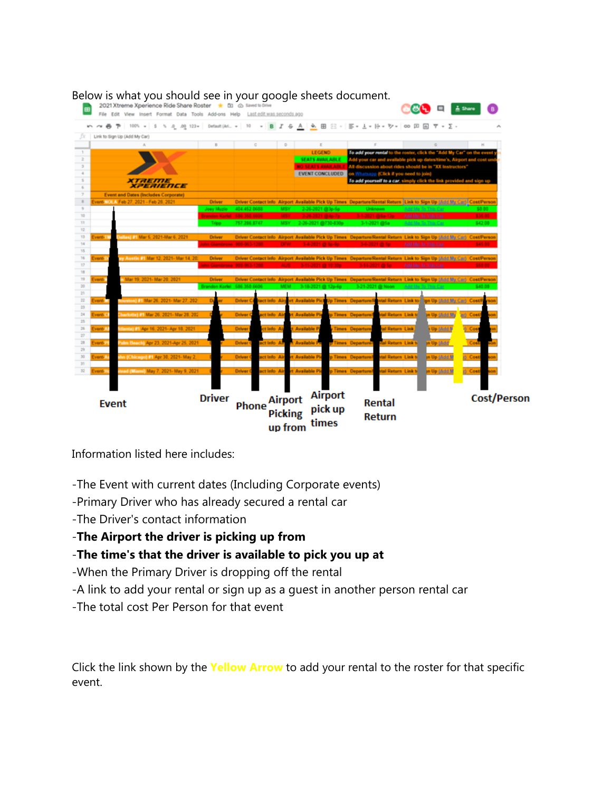| 2021 Xtreme Xperience Ride Share Roster * (E) @ Saved to Drive<br>File Edit View Insert Format Data Tools Add-ons Help Last.edit.was.seconds.ago |                                          |                  |                |                                  |                     |                                          |                         |                                                         |                               |                |                                                          |                                          |                                                                                                                                  |
|--------------------------------------------------------------------------------------------------------------------------------------------------|------------------------------------------|------------------|----------------|----------------------------------|---------------------|------------------------------------------|-------------------------|---------------------------------------------------------|-------------------------------|----------------|----------------------------------------------------------|------------------------------------------|----------------------------------------------------------------------------------------------------------------------------------|
|                                                                                                                                                  |                                          |                  |                |                                  |                     |                                          |                         |                                                         |                               |                |                                                          |                                          |                                                                                                                                  |
| Link to Sign Up (Add My Car)                                                                                                                     |                                          |                  |                |                                  |                     |                                          |                         |                                                         |                               |                |                                                          |                                          |                                                                                                                                  |
|                                                                                                                                                  |                                          |                  |                | D                                |                     | $\epsilon$                               |                         |                                                         |                               |                |                                                          |                                          |                                                                                                                                  |
|                                                                                                                                                  |                                          |                  |                |                                  |                     | <b>LEGEND</b>                            |                         |                                                         |                               |                |                                                          |                                          | To add your rental to the roster, click the "Add My Car" on the event                                                            |
|                                                                                                                                                  |                                          |                  |                |                                  |                     | <b>SEATS AVAILABLE</b>                   |                         |                                                         |                               |                |                                                          |                                          | Add your car and available pick up dates/time's, Airport and cost a                                                              |
|                                                                                                                                                  |                                          |                  |                |                                  |                     | NO SEATS AVAILABLE                       |                         | EVENT CONCLUDED on Whatsapp (Click if you need to join) |                               |                | All discussion about rides should be in "XX Instructors" |                                          |                                                                                                                                  |
| XTAEME<br>XPERIENCE                                                                                                                              |                                          |                  |                |                                  |                     |                                          |                         |                                                         |                               |                |                                                          |                                          | To add yourself to a car, simply click the link provided and sign up                                                             |
| <b>Event and Dates (Includes Corporate)</b>                                                                                                      |                                          |                  |                |                                  |                     |                                          |                         |                                                         |                               |                |                                                          |                                          |                                                                                                                                  |
| vent-NOLA Feb 27, 2021 - Feb 28, 2021                                                                                                            | Driver                                   |                  |                |                                  |                     |                                          |                         |                                                         |                               |                |                                                          |                                          | <b>Driver Contact Info Airport Available Pick Up Times Departure/Rental Return Link to Sign Up (itd if the Carp) Cost/Person</b> |
|                                                                                                                                                  | Joey Muzic<br>randon Korfel 586 360 6606 | 404.452.0688     |                | MSY.                             |                     | 2-26-2021 @3p-6p<br>MSY 2-26-2021 @46-76 |                         |                                                         | Unknown :<br>3-1-2021 @As-12a |                |                                                          | Add Me To This Car<br>Add Me.To.This.Car | 50.00<br>\$35.00                                                                                                                 |
|                                                                                                                                                  | Tripp.                                   | 757 286 8747     |                |                                  |                     |                                          | MSY 2-26-2021 @730-830p |                                                         | 3-1-2021 @5a                  |                | Add Me To This Car                                       |                                          | \$42.00                                                                                                                          |
|                                                                                                                                                  |                                          |                  |                |                                  |                     |                                          |                         |                                                         |                               |                |                                                          |                                          |                                                                                                                                  |
| Dallas) #1 Mar 5, 2021-Mar 6, 2021<br>vent-1"                                                                                                    | Driver                                   |                  |                |                                  |                     |                                          |                         |                                                         |                               |                |                                                          |                                          | Driver Contact Info Airport Available Pick Up Times Departure/Rental Return Link to Sign Up (Add No Carl) ContiPerson            |
|                                                                                                                                                  |                                          |                  |                |                                  |                     |                                          |                         |                                                         |                               |                |                                                          | Ackd Mar To This Car                     |                                                                                                                                  |
| ay Austin #1 Mar 12, 2021- Mar 14, 20<br>vent-1)                                                                                                 | <b>Driver</b>                            |                  |                |                                  |                     |                                          |                         |                                                         |                               |                |                                                          |                                          | Driver Contact Info. Airport Available Pick Up Times. Departure/Rental Return. Link to Sign Up (Add My Car). Cost/Person         |
|                                                                                                                                                  |                                          |                  |                |                                  |                     |                                          |                         |                                                         |                               |                |                                                          |                                          |                                                                                                                                  |
|                                                                                                                                                  |                                          |                  |                |                                  |                     |                                          |                         |                                                         |                               |                |                                                          |                                          |                                                                                                                                  |
| Mar 19, 2021- Mar 20, 2021<br>venti.                                                                                                             | <b>Driver</b>                            |                  |                |                                  |                     |                                          |                         |                                                         |                               |                |                                                          |                                          | Driver Contact Info Airport Available Pick Up Times Departure/Rental Return Link to Sign Up (Add M) Carl Cost/Person             |
|                                                                                                                                                  | Brandon Korlel 586 350 6606              |                  |                | <b>MEM</b>                       |                     | 3-18-2021 @ 12p-6p                       |                         |                                                         | 3-21-2021 @ Noon              |                | Add Ma To This Car                                       |                                          | S.40 O                                                                                                                           |
| Rounton) #1 Mar 26, 2021- Mar 27, 202<br>vent-                                                                                                   | D                                        | <b>Driver Co</b> | tact Info Airp |                                  |                     |                                          |                         | rt Available Pick Up Times Departure/Fig.               |                               |                |                                                          |                                          | ntal Return Link to fign Up (Mdd My Car) Cost F                                                                                  |
|                                                                                                                                                  |                                          |                  |                |                                  |                     |                                          |                         |                                                         |                               |                |                                                          |                                          |                                                                                                                                  |
| (harlotte) #1 Mar 26, 2021- Mar 28, 202<br>vent H.                                                                                               |                                          | <b>Driver</b>    | set Info Air   |                                  | rt Available Pie    |                                          |                         | p Times Departure/                                      |                               |                | tal Return Link to                                       | in Up 18:10 My                           | ari Costi                                                                                                                        |
| Mianta) #1 Apr 16, 2021- Apr 18, 2021<br>vent-11                                                                                                 |                                          | <b>Driver</b>    | t Info Ali     |                                  | <b>Available PI</b> |                                          |                         | <b>Times</b> Departure                                  |                               | al Return Link |                                                          | <b>N Up IABER</b>                        | <b>Cost</b>                                                                                                                      |
|                                                                                                                                                  |                                          |                  |                |                                  |                     |                                          |                         |                                                         |                               |                |                                                          |                                          |                                                                                                                                  |
| Wim Beach) Apr 23, 2021-Apr 25, 2021<br>ventil UI                                                                                                |                                          | <b>Driver</b>    | et Info Air    |                                  | <b>Available PR</b> |                                          |                         | p Times Departure?                                      |                               |                | Mal Return Link b                                        | in Up (Add)                              | Cos                                                                                                                              |
|                                                                                                                                                  |                                          |                  |                |                                  |                     |                                          |                         |                                                         |                               |                |                                                          |                                          |                                                                                                                                  |
| thn (Chicago) #1 Apr 30, 2021- May 2,<br>vent-Ar                                                                                                 |                                          | <b>Driver</b>    | ict Info Air   |                                  | rt Available Pie    |                                          |                         | p Times Departure/                                      |                               |                | tal Return Link to                                       | in Up (Add M                             | <b>Cost</b>                                                                                                                      |
| tead (Mami) May 7, 2021- May 9, 2021<br><b>Event-Hit</b>                                                                                         |                                          | Driver 0         | act Info Air   |                                  | rt Available Pie    |                                          |                         | p Times Departure/                                      |                               |                | <b>Ital Return Link to</b>                               | <b>In Up IABEM</b>                       | ti Costi                                                                                                                         |
|                                                                                                                                                  |                                          |                  |                |                                  |                     |                                          |                         |                                                         |                               |                |                                                          |                                          |                                                                                                                                  |
| Event                                                                                                                                            | <b>Driver</b>                            | Phone            |                | <b>Airport</b><br><b>Picking</b> |                     | times                                    | Airport<br>pick up      |                                                         | Rental<br><b>Return</b>       |                |                                                          |                                          | <b>Cost/Person</b>                                                                                                               |

Information listed here includes:

- -The Event with current dates (Including Corporate events)
- -Primary Driver who has already secured a rental car
- -The Driver's contact information
- -**The Airport the driver is picking up from**

## -**The time's that the driver is available to pick you up at**

- -When the Primary Driver is dropping off the rental
- -A link to add your rental or sign up as a guest in another person rental car
- -The total cost Per Person for that event

Click the link shown by the **Yellow Arrow** to add your rental to the roster for that specific event.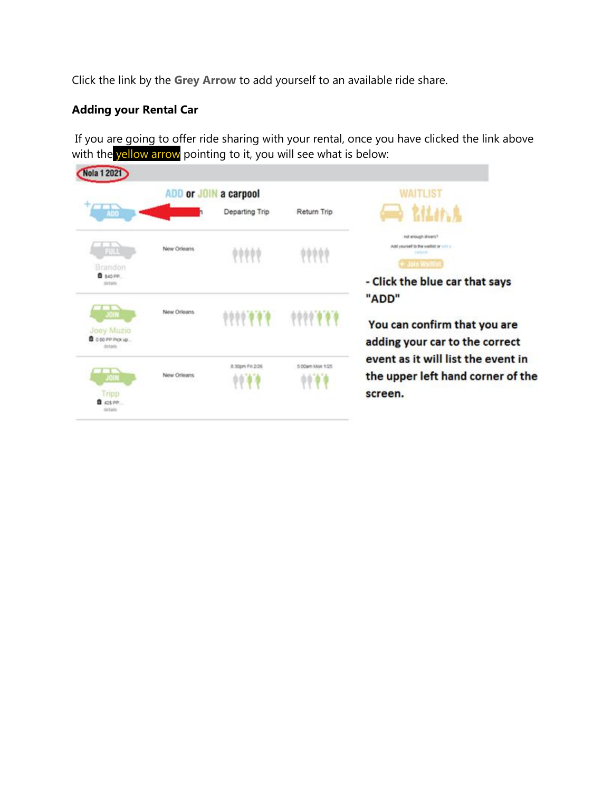Click the link by the **Grey Arrow** to add yourself to an available ride share.

### **Adding your Rental Car**

If you are going to offer ride sharing with your rental, once you have clicked the link above with the yellow arrow pointing to it, you will see what is below:

| <b>Nola 1 2021</b>                                                |             |                 |                         |                                                                                    |
|-------------------------------------------------------------------|-------------|-----------------|-------------------------|------------------------------------------------------------------------------------|
|                                                                   | ADD or JOIN | a carpool       | WAITLIST                |                                                                                    |
| m                                                                 |             | Departing Trip  | Return Trip             | <b>RELAIN</b>                                                                      |
| 21/01<br>Brandon                                                  | New Orleans | ,,,,,           | 99999                   | nut enough drivers?<br>Add yourself to the waithit or and a<br>- Join Waitlist     |
| <b>B</b> SAD PP<br>details                                        |             |                 |                         | - Click the blue car that says<br>"ADD"                                            |
| <b>JOIN</b><br>Joey Muzio<br><b>B</b> 0.00 PP PICK VB.<br>details | New Orleans | 1111111         | 0000000                 | You can confirm that you are<br>adding your car to the correct                     |
| JOIN<br>inpp<br><b>Q</b> 425 PP                                   | New Orleans | 8.50pm Fit 3/26 | 5:00am Mon 1/25<br>0000 | event as it will list the event in<br>the upper left hand corner of the<br>screen. |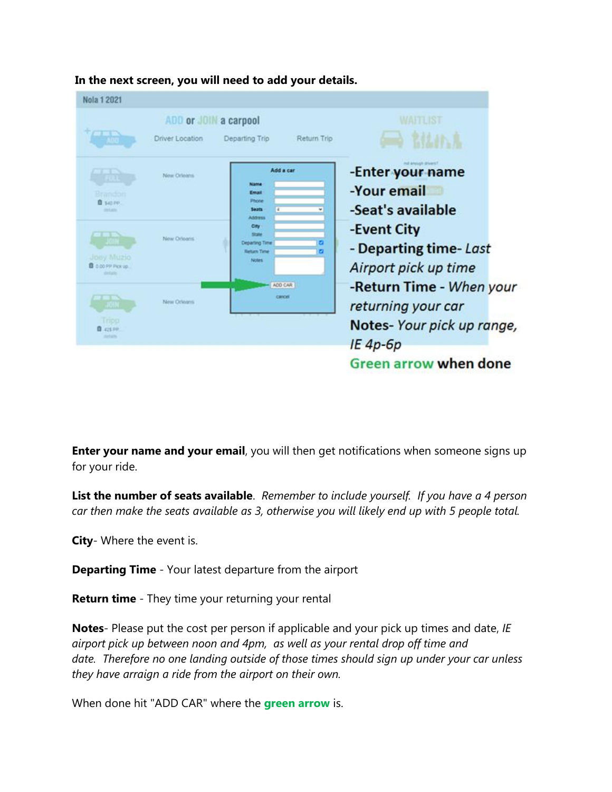

**In the next screen, you will need to add your details.**

**Enter your name and your email**, you will then get notifications when someone signs up for your ride.

**List the number of seats available**. *Remember to include yourself. If you have a 4 person car then make the seats available as 3, otherwise you will likely end up with 5 people total.*

**City**- Where the event is.

**Departing Time** - Your latest departure from the airport

**Return time** - They time your returning your rental

**Notes**- Please put the cost per person if applicable and your pick up times and date, *IE airport pick up between noon and 4pm, as well as your rental drop off time and date. Therefore no one landing outside of those times should sign up under your car unless they have arraign a ride from the airport on their own.*

When done hit "ADD CAR" where the **green arrow** is.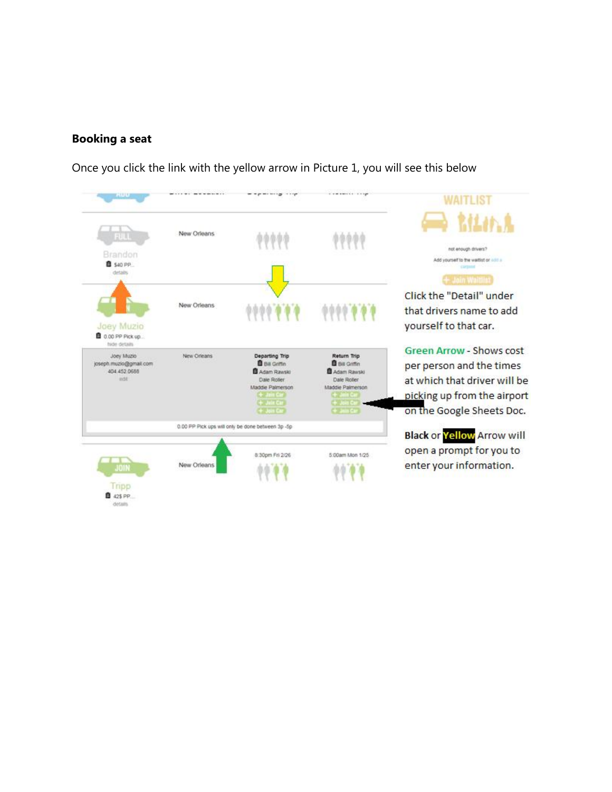#### **Booking a seat**

Once you click the link with the yellow arrow in Picture 1, you will see this below

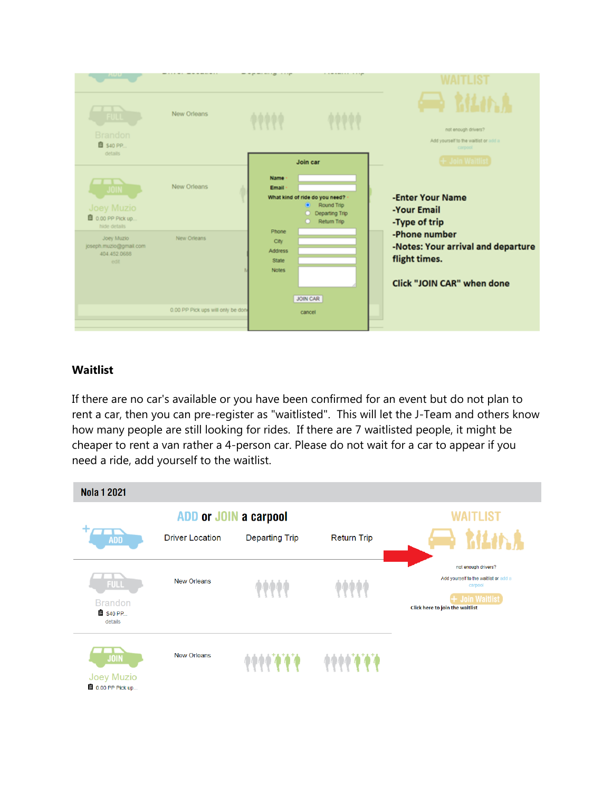

#### **Waitlist**

If there are no car's available or you have been confirmed for an event but do not plan to rent a car, then you can pre-register as "waitlisted". This will let the J-Team and others know how many people are still looking for rides. If there are 7 waitlisted people, it might be cheaper to rent a van rather a 4-person car. Please do not wait for a car to appear if you need a ride, add yourself to the waitlist.